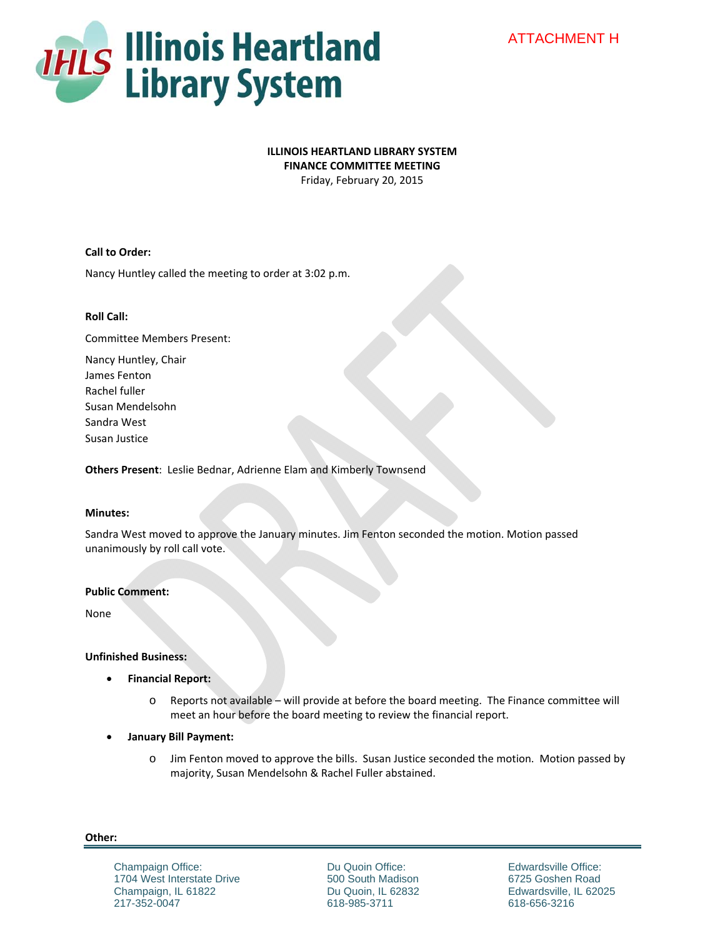

# **ILLINOIS HEARTLAND LIBRARY SYSTEM**

**FINANCE COMMITTEE MEETING**

Friday, February 20, 2015

## **Call to Order:**

Nancy Huntley called the meeting to order at 3:02 p.m.

### **Roll Call:**

Committee Members Present:

Nancy Huntley, Chair James Fenton Rachel fuller Susan Mendelsohn Sandra West Susan Justice

**Others Present**: Leslie Bednar, Adrienne Elam and Kimberly Townsend

### **Minutes:**

Sandra West moved to approve the January minutes. Jim Fenton seconded the motion. Motion passed unanimously by roll call vote.

## **Public Comment:**

None

### **Unfinished Business:**

- **Financial Report:** 
	- o Reports not available will provide at before the board meeting. The Finance committee will meet an hour before the board meeting to review the financial report.
- **January Bill Payment:** 
	- o Jim Fenton moved to approve the bills. Susan Justice seconded the motion. Motion passed by majority, Susan Mendelsohn & Rachel Fuller abstained.

**Other:**

Champaign Office: 1704 West Interstate Drive Champaign, IL 61822 217-352-0047

Du Quoin Office: 500 South Madison Du Quoin, IL 62832 618-985-3711

Edwardsville Office: 6725 Goshen Road Edwardsville, IL 62025 618-656-3216